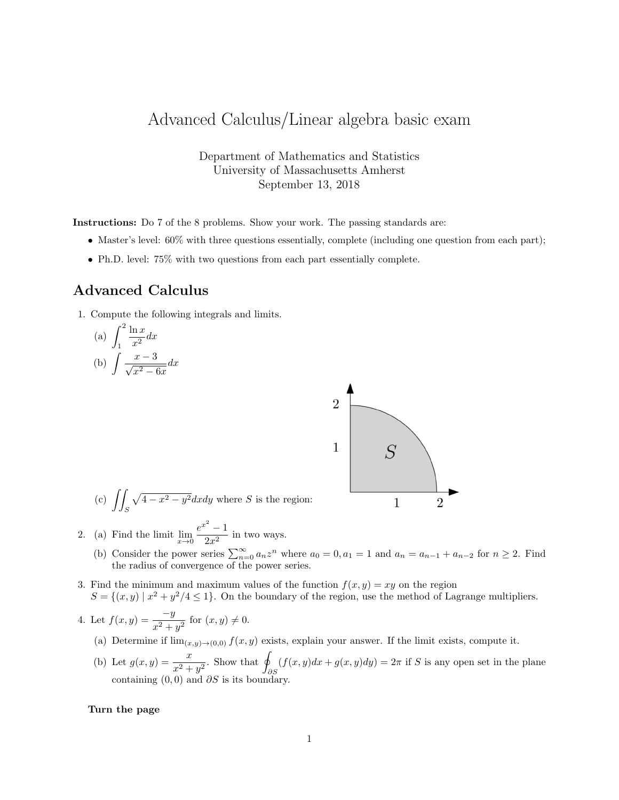## Advanced Calculus/Linear algebra basic exam

Department of Mathematics and Statistics University of Massachusetts Amherst September 13, 2018

Instructions: Do 7 of the 8 problems. Show your work. The passing standards are:

- Master's level:  $60\%$  with three questions essentially, complete (including one question from each part);
- Ph.D. level: 75% with two questions from each part essentially complete.

## Advanced Calculus

1. Compute the following integrals and limits.

(a) 
$$
\int_{1}^{2} \frac{\ln x}{x^2} dx
$$
  
(b) 
$$
\int \frac{x-3}{\sqrt{x^2 - 6x}} dx
$$



(c) 
$$
\iint_S \sqrt{4 - x^2 - y^2} dx dy
$$
 where *S* is the region:

- 2. (a) Find the limit  $\lim_{x\to 0} \frac{e^{x^2}-1}{2x^2}$  $\frac{1}{2x^2}$  in two ways.
	- (b) Consider the power series  $\sum_{n=0}^{\infty} a_n z^n$  where  $a_0 = 0, a_1 = 1$  and  $a_n = a_{n-1} + a_{n-2}$  for  $n \ge 2$ . Find the radius of convergence of the power series.
- 3. Find the minimum and maximum values of the function  $f(x, y) = xy$  on the region  $S = \{(x, y) | x^2 + y^2/4 \le 1\}$ . On the boundary of the region, use the method of Lagrange multipliers.

4. Let 
$$
f(x, y) = \frac{-y}{x^2 + y^2}
$$
 for  $(x, y) \neq 0$ .

- (a) Determine if  $\lim_{(x,y)\to(0,0)} f(x,y)$  exists, explain your answer. If the limit exists, compute it.
- (b) Let  $g(x, y) = \frac{x}{x^2 + y^2}$ . Show that  $\oint$ ∂S  $(f(x, y)dx + g(x, y)dy) = 2\pi$  if S is any open set in the plane containing  $(0,0)$  and  $\partial S$  is its boundary.

## Turn the page